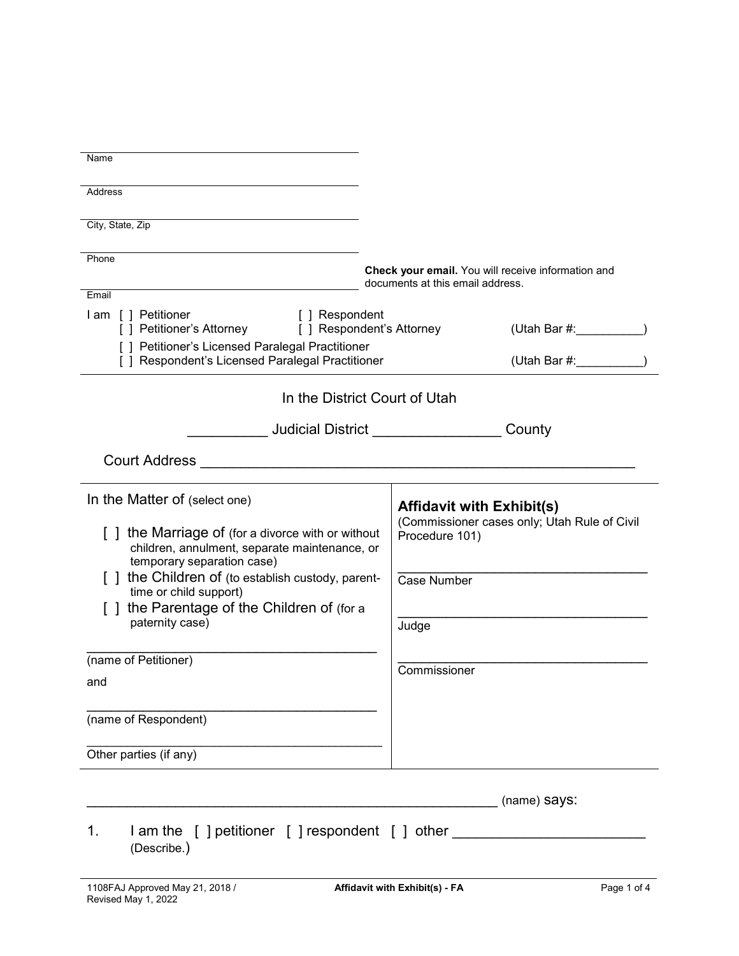| Name                                                                                                                                                                                                                                                                                                                                          |                                                                                                                                                   |
|-----------------------------------------------------------------------------------------------------------------------------------------------------------------------------------------------------------------------------------------------------------------------------------------------------------------------------------------------|---------------------------------------------------------------------------------------------------------------------------------------------------|
|                                                                                                                                                                                                                                                                                                                                               |                                                                                                                                                   |
| <b>Address</b>                                                                                                                                                                                                                                                                                                                                |                                                                                                                                                   |
| City, State, Zip                                                                                                                                                                                                                                                                                                                              |                                                                                                                                                   |
| Phone                                                                                                                                                                                                                                                                                                                                         | Check your email. You will receive information and<br>documents at this email address.                                                            |
| Email<br>I am [ ] Petitioner<br>[ ] Respondent<br>[] Petitioner's Attorney [] Respondent's Attorney<br>[ ] Petitioner's Licensed Paralegal Practitioner                                                                                                                                                                                       | (Utah Bar #: __________)                                                                                                                          |
| [ ] Respondent's Licensed Paralegal Practitioner                                                                                                                                                                                                                                                                                              | (Utah Bar #:                                                                                                                                      |
| In the District Court of Utah                                                                                                                                                                                                                                                                                                                 |                                                                                                                                                   |
|                                                                                                                                                                                                                                                                                                                                               | County                                                                                                                                            |
|                                                                                                                                                                                                                                                                                                                                               |                                                                                                                                                   |
| In the Matter of (select one)<br>[] the Marriage of (for a divorce with or without<br>children, annulment, separate maintenance, or<br>temporary separation case)<br>[] the Children of (to establish custody, parent-<br>time or child support)<br>the Parentage of the Children of (for a<br>paternity case)<br>(name of Petitioner)<br>and | <b>Affidavit with Exhibit(s)</b><br>(Commissioner cases only; Utah Rule of Civil<br>Procedure 101)<br><b>Case Number</b><br>Judge<br>Commissioner |
| (name of Respondent)                                                                                                                                                                                                                                                                                                                          |                                                                                                                                                   |
| Other parties (if any)                                                                                                                                                                                                                                                                                                                        |                                                                                                                                                   |
|                                                                                                                                                                                                                                                                                                                                               | (name) says:                                                                                                                                      |
| lam the [ ] petitioner [ ] respondent [ ] other<br>1.<br>(Describe.)                                                                                                                                                                                                                                                                          |                                                                                                                                                   |
| 1108FAJ Approved May 21, 2018 /<br>Revised May 1, 2022                                                                                                                                                                                                                                                                                        | Page 1 of 4<br>Affidavit with Exhibit(s) - FA                                                                                                     |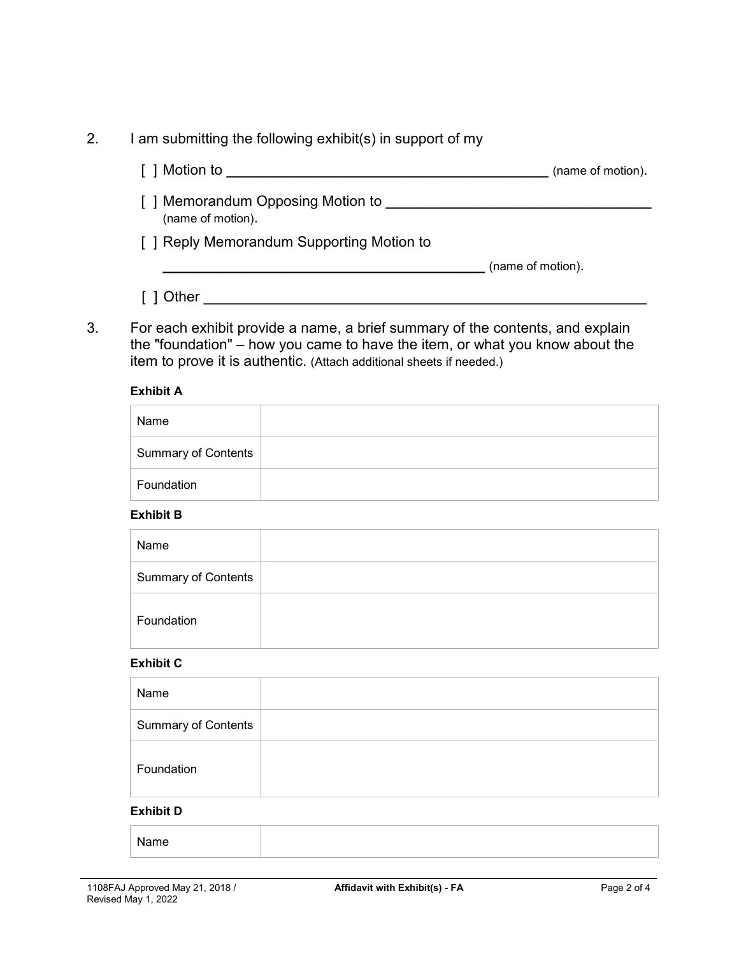| I am submitting the following exhibit(s) in support of my |                   |
|-----------------------------------------------------------|-------------------|
| [ ] Motion to                                             | (name of motion). |
| [ ] Memorandum Opposing Motion to<br>(name of motion).    |                   |
| [ ] Reply Memorandum Supporting Motion to                 |                   |
|                                                           | (name of motion). |
| Other                                                     |                   |

3. For each exhibit provide a name, a brief summary of the contents, and explain the "foundation" – how you came to have the item, or what you know about the item to prove it is authentic. (Attach additional sheets if needed.)

### **Exhibit A**

| Name                       |  |
|----------------------------|--|
| <b>Summary of Contents</b> |  |
| Foundation                 |  |

### **Exhibit B**

| Name                       |  |
|----------------------------|--|
| <b>Summary of Contents</b> |  |
| Foundation                 |  |

### **Exhibit C**

| Name                       |  |  |
|----------------------------|--|--|
| <b>Summary of Contents</b> |  |  |
| Foundation                 |  |  |
| <b>Exhibit D</b>           |  |  |

Name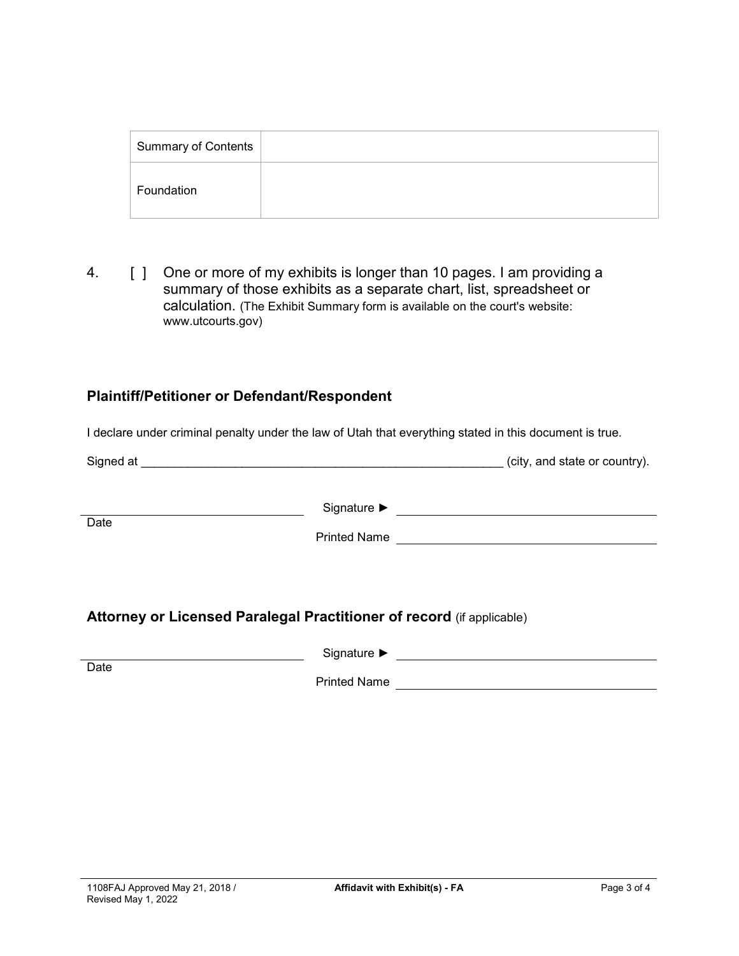| Summary of Contents |  |
|---------------------|--|
| Foundation          |  |

4. **[ ]** One or more of my exhibits is longer than 10 pages. I am providing a summary of those exhibits as a separate chart, list, spreadsheet or calculation. (The Exhibit Summary form is available on the court's website: www.utcourts.gov)

# **Plaintiff/Petitioner or Defendant/Respondent**

I declare under criminal penalty under the law of Utah that everything stated in this document is true.

| Signed at |                     | (city, and state or country). |
|-----------|---------------------|-------------------------------|
| Date      | Signature ▶         |                               |
|           | <b>Printed Name</b> |                               |
|           |                     |                               |

# **Attorney or Licensed Paralegal Practitioner of record** (if applicable)

Signature ►

Printed Name